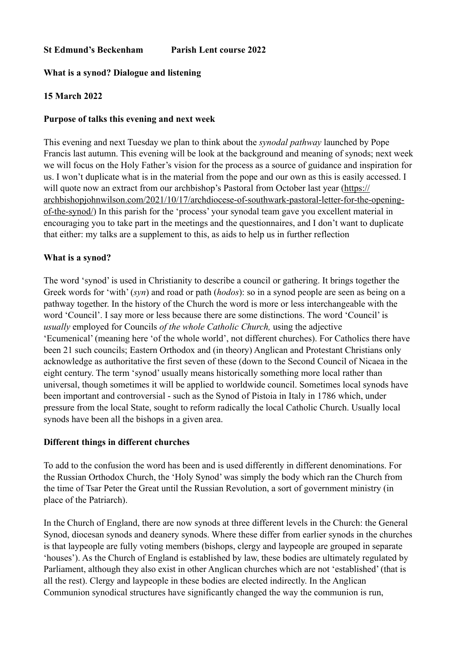### **St Edmund's Beckenham Parish Lent course 2022**

### **What is a synod? Dialogue and listening**

## **15 March 2022**

### **Purpose of talks this evening and next week**

This evening and next Tuesday we plan to think about the *synodal pathway* launched by Pope Francis last autumn. This evening will be look at the background and meaning of synods; next week we will focus on the Holy Father's vision for the process as a source of guidance and inspiration for us. I won't duplicate what is in the material from the pope and our own as this is easily accessed. I will quote now an extract from our archbishop's Pastoral from October last year ([https://](https://archbishopjohnwilson.com/2021/10/17/archdiocese-of-southwark-pastoral-letter-for-the-opening-of-the-synod/) [archbishopjohnwilson.com/2021/10/17/archdiocese-of-southwark-pastoral-letter-for-the-opening](https://archbishopjohnwilson.com/2021/10/17/archdiocese-of-southwark-pastoral-letter-for-the-opening-of-the-synod/)[of-the-synod/](https://archbishopjohnwilson.com/2021/10/17/archdiocese-of-southwark-pastoral-letter-for-the-opening-of-the-synod/)) In this parish for the 'process' your synodal team gave you excellent material in encouraging you to take part in the meetings and the questionnaires, and I don't want to duplicate that either: my talks are a supplement to this, as aids to help us in further reflection

### **What is a synod?**

The word 'synod' is used in Christianity to describe a council or gathering. It brings together the Greek words for 'with' (*syn*) and road or path (*hodos*): so in a synod people are seen as being on a pathway together. In the history of the Church the word is more or less interchangeable with the word 'Council'. I say more or less because there are some distinctions. The word 'Council' is *usually* employed for Councils *of the whole Catholic Church,* using the adjective 'Ecumenical' (meaning here 'of the whole world', not different churches). For Catholics there have been 21 such councils; Eastern Orthodox and (in theory) Anglican and Protestant Christians only acknowledge as authoritative the first seven of these (down to the Second Council of Nicaea in the eight century. The term 'synod' usually means historically something more local rather than universal, though sometimes it will be applied to worldwide council. Sometimes local synods have been important and controversial - such as the Synod of Pistoia in Italy in 1786 which, under pressure from the local State, sought to reform radically the local Catholic Church. Usually local synods have been all the bishops in a given area.

#### **Different things in different churches**

To add to the confusion the word has been and is used differently in different denominations. For the Russian Orthodox Church, the 'Holy Synod' was simply the body which ran the Church from the time of Tsar Peter the Great until the Russian Revolution, a sort of government ministry (in place of the Patriarch).

In the Church of England, there are now synods at three different levels in the Church: the General Synod, diocesan synods and deanery synods. Where these differ from earlier synods in the churches is that laypeople are fully voting members (bishops, clergy and laypeople are grouped in separate 'houses'). As the Church of England is established by law, these bodies are ultimately regulated by Parliament, although they also exist in other Anglican churches which are not 'established' (that is all the rest). Clergy and laypeople in these bodies are elected indirectly. In the Anglican Communion synodical structures have significantly changed the way the communion is run,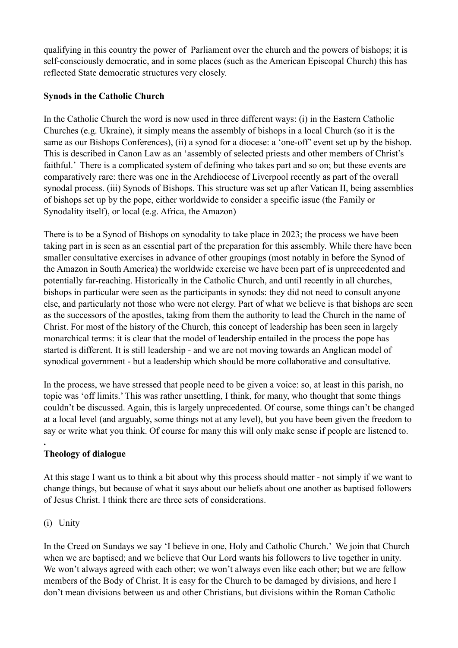qualifying in this country the power of Parliament over the church and the powers of bishops; it is self-consciously democratic, and in some places (such as the American Episcopal Church) this has reflected State democratic structures very closely.

# **Synods in the Catholic Church**

In the Catholic Church the word is now used in three different ways: (i) in the Eastern Catholic Churches (e.g. Ukraine), it simply means the assembly of bishops in a local Church (so it is the same as our Bishops Conferences), (ii) a synod for a diocese: a 'one-off' event set up by the bishop. This is described in Canon Law as an 'assembly of selected priests and other members of Christ's faithful.' There is a complicated system of defining who takes part and so on; but these events are comparatively rare: there was one in the Archdiocese of Liverpool recently as part of the overall synodal process. (iii) Synods of Bishops. This structure was set up after Vatican II, being assemblies of bishops set up by the pope, either worldwide to consider a specific issue (the Family or Synodality itself), or local (e.g. Africa, the Amazon)

There is to be a Synod of Bishops on synodality to take place in 2023; the process we have been taking part in is seen as an essential part of the preparation for this assembly. While there have been smaller consultative exercises in advance of other groupings (most notably in before the Synod of the Amazon in South America) the worldwide exercise we have been part of is unprecedented and potentially far-reaching. Historically in the Catholic Church, and until recently in all churches, bishops in particular were seen as the participants in synods: they did not need to consult anyone else, and particularly not those who were not clergy. Part of what we believe is that bishops are seen as the successors of the apostles, taking from them the authority to lead the Church in the name of Christ. For most of the history of the Church, this concept of leadership has been seen in largely monarchical terms: it is clear that the model of leadership entailed in the process the pope has started is different. It is still leadership - and we are not moving towards an Anglican model of synodical government - but a leadership which should be more collaborative and consultative.

In the process, we have stressed that people need to be given a voice: so, at least in this parish, no topic was 'off limits.' This was rather unsettling, I think, for many, who thought that some things couldn't be discussed. Again, this is largely unprecedented. Of course, some things can't be changed at a local level (and arguably, some things not at any level), but you have been given the freedom to say or write what you think. Of course for many this will only make sense if people are listened to.

# **Theology of dialogue**

At this stage I want us to think a bit about why this process should matter - not simply if we want to change things, but because of what it says about our beliefs about one another as baptised followers of Jesus Christ. I think there are three sets of considerations.

# (i) Unity

**.**

In the Creed on Sundays we say 'I believe in one, Holy and Catholic Church.' We join that Church when we are baptised; and we believe that Our Lord wants his followers to live together in unity. We won't always agreed with each other; we won't always even like each other; but we are fellow members of the Body of Christ. It is easy for the Church to be damaged by divisions, and here I don't mean divisions between us and other Christians, but divisions within the Roman Catholic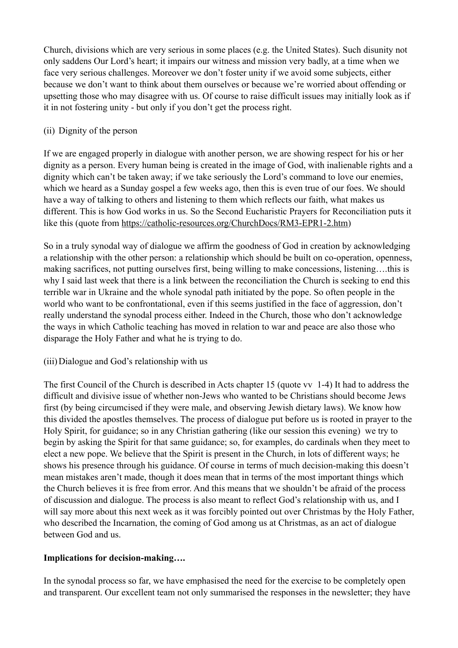Church, divisions which are very serious in some places (e.g. the United States). Such disunity not only saddens Our Lord's heart; it impairs our witness and mission very badly, at a time when we face very serious challenges. Moreover we don't foster unity if we avoid some subjects, either because we don't want to think about them ourselves or because we're worried about offending or upsetting those who may disagree with us. Of course to raise difficult issues may initially look as if it in not fostering unity - but only if you don't get the process right.

# (ii) Dignity of the person

If we are engaged properly in dialogue with another person, we are showing respect for his or her dignity as a person. Every human being is created in the image of God, with inalienable rights and a dignity which can't be taken away; if we take seriously the Lord's command to love our enemies, which we heard as a Sunday gospel a few weeks ago, then this is even true of our foes. We should have a way of talking to others and listening to them which reflects our faith, what makes us different. This is how God works in us. So the Second Eucharistic Prayers for Reconciliation puts it like this (quote from<https://catholic-resources.org/ChurchDocs/RM3-EPR1-2.htm>)

So in a truly synodal way of dialogue we affirm the goodness of God in creation by acknowledging a relationship with the other person: a relationship which should be built on co-operation, openness, making sacrifices, not putting ourselves first, being willing to make concessions, listening….this is why I said last week that there is a link between the reconciliation the Church is seeking to end this terrible war in Ukraine and the whole synodal path initiated by the pope. So often people in the world who want to be confrontational, even if this seems justified in the face of aggression, don't really understand the synodal process either. Indeed in the Church, those who don't acknowledge the ways in which Catholic teaching has moved in relation to war and peace are also those who disparage the Holy Father and what he is trying to do.

## (iii)Dialogue and God's relationship with us

The first Council of the Church is described in Acts chapter 15 (quote vv 1-4) It had to address the difficult and divisive issue of whether non-Jews who wanted to be Christians should become Jews first (by being circumcised if they were male, and observing Jewish dietary laws). We know how this divided the apostles themselves. The process of dialogue put before us is rooted in prayer to the Holy Spirit, for guidance; so in any Christian gathering (like our session this evening) we try to begin by asking the Spirit for that same guidance; so, for examples, do cardinals when they meet to elect a new pope. We believe that the Spirit is present in the Church, in lots of different ways; he shows his presence through his guidance. Of course in terms of much decision-making this doesn't mean mistakes aren't made, though it does mean that in terms of the most important things which the Church believes it is free from error. And this means that we shouldn't be afraid of the process of discussion and dialogue. The process is also meant to reflect God's relationship with us, and I will say more about this next week as it was forcibly pointed out over Christmas by the Holy Father, who described the Incarnation, the coming of God among us at Christmas, as an act of dialogue between God and us.

## **Implications for decision-making….**

In the synodal process so far, we have emphasised the need for the exercise to be completely open and transparent. Our excellent team not only summarised the responses in the newsletter; they have